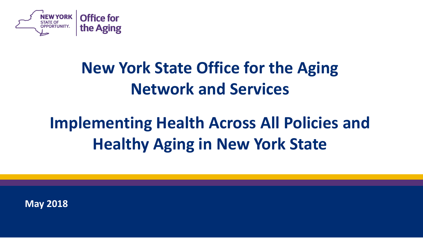

## **New York State Office for the Aging Network and Services**

# **Implementing Health Across All Policies and Healthy Aging in New York State**

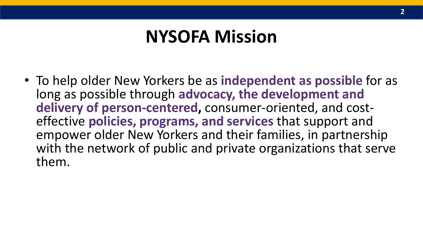## **NYSOFA Mission**

• To help older New Yorkers be as **independent as possible** for as long as possible through **advocacy, the development and delivery of person-centered,** consumer-oriented, and costeffective **policies, programs, and services** that support and empower older New Yorkers and their families, in partnership with the network of public and private organizations that serve them.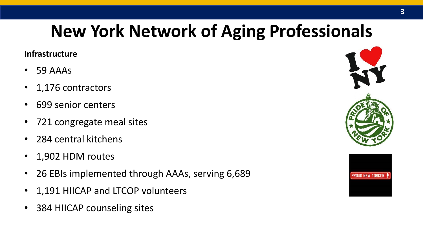# **New York Network of Aging Professionals**

### **Infrastructure**

- 59 AAAs
- 1,176 contractors
- 699 senior centers
- 721 congregate meal sites
- 284 central kitchens
- 1,902 HDM routes
- 26 EBIs implemented through AAAs, serving 6,689
- 1,191 HIICAP and LTCOP volunteers
- 384 HIICAP counseling sites

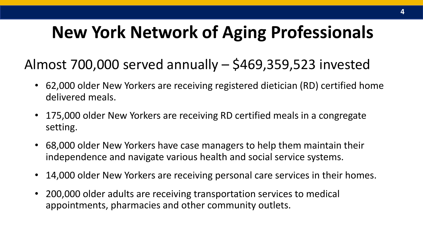# **New York Network of Aging Professionals**

### Almost 700,000 served annually – \$469,359,523 invested

- 62,000 older New Yorkers are receiving registered dietician (RD) certified home delivered meals.
- 175,000 older New Yorkers are receiving RD certified meals in a congregate setting.
- 68,000 older New Yorkers have case managers to help them maintain their independence and navigate various health and social service systems.
- 14,000 older New Yorkers are receiving personal care services in their homes.
- 200,000 older adults are receiving transportation services to medical appointments, pharmacies and other community outlets.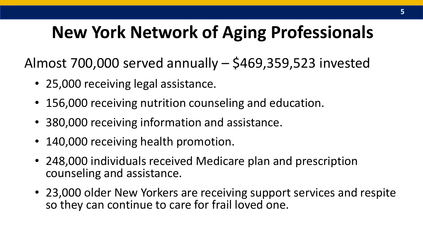# **New York Network of Aging Professionals**

Almost 700,000 served annually – \$469,359,523 invested

- 25,000 receiving legal assistance.
- 156,000 receiving nutrition counseling and education.
- 380,000 receiving information and assistance.
- 140,000 receiving health promotion.
- 248,000 individuals received Medicare plan and prescription counseling and assistance.
- 23,000 older New Yorkers are receiving support services and respite so they can continue to care for frail loved one.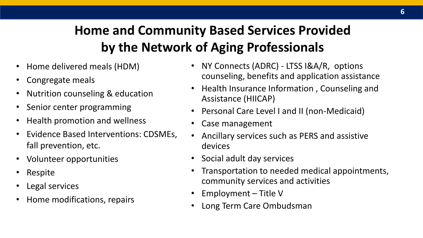## **Home and Community Based Services Provided by the Network of Aging Professionals**

- Home delivered meals (HDM)
- Congregate meals
- Nutrition counseling & education
- Senior center programming
- Health promotion and wellness
- Evidence Based Interventions: CDSMEs, fall prevention, etc.
- Volunteer opportunities
- Respite
- Legal services
- Home modifications, repairs
- NY Connects (ADRC) LTSS I&A/R, options counseling, benefits and application assistance
- Health Insurance Information , Counseling and Assistance (HIICAP)
- Personal Care Level I and II (non-Medicaid)
- Case management
- Ancillary services such as PERS and assistive devices
- Social adult day services
- Transportation to needed medical appointments, community services and activities
- Employment Title V
- Long Term Care Ombudsman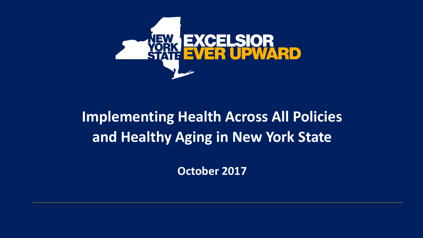

## **Implementing Health Across All Policies and Healthy Aging in New York State**

**October 2017**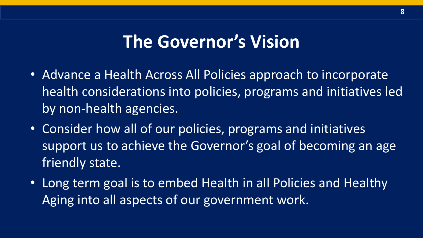## **The Governor's Vision**

- Advance a Health Across All Policies approach to incorporate health considerations into policies, programs and initiatives led by non-health agencies.
- Consider how all of our policies, programs and initiatives support us to achieve the Governor's goal of becoming an age friendly state.
- Long term goal is to embed Health in all Policies and Healthy Aging into all aspects of our government work.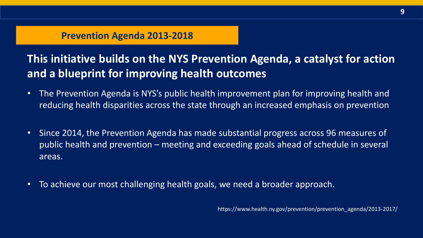### **Prevention Agenda 2013-2018**

### **This initiative builds on the NYS Prevention Agenda, a catalyst for action and a blueprint for improving health outcomes**

- The Prevention Agenda is NYS's public health improvement plan for improving health and reducing health disparities across the state through an increased emphasis on prevention
- Since 2014, the Prevention Agenda has made substantial progress across 96 measures of public health and prevention – meeting and exceeding goals ahead of schedule in several areas.
- To achieve our most challenging health goals, we need a broader approach.

https://www.health.ny.gov/prevention/prevention\_agenda/2013-2017/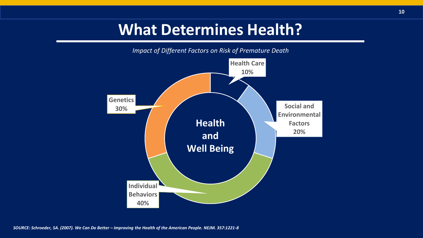## **What Determines Health?**



*SOURCE: Schroeder, SA. (2007). We Can Do Better – Improving the Health of the American People. NEJM. 357:1221-8*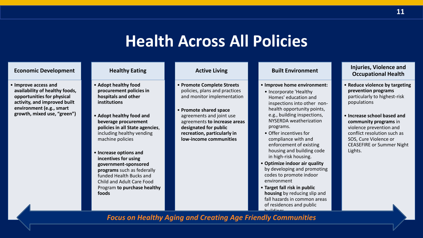## **Health Across All Policies**

#### **Economic Development**

• **Improve access and availability of healthy foods, opportunities for physical activity, and improved built environment (e.g., smart growth, mixed use, "green")**

#### **Healthy Eating**

- **Adopt healthy food procurement policies in hospitals and other institutions**
- **Adopt healthy food and beverage procurement policies in all State agencies**, including healthy vending machine policies
- **Increase options and incentives for using government-sponsored programs** such as federally funded Health Bucks and Child and Adult Care Food Program **to purchase healthy foods**

#### **Active Living**

- **Promote Complete Streets**  policies, plans and practices and monitor implementation
- **Promote shared space**  agreements and joint use agreements **to increase areas designated for public recreation, particularly in low-income communities**

#### **Built Environment**

- **Improve home environment:**
	- Incorporate 'Healthy Homes' education and inspections into other nonhealth opportunity points, e.g., building inspections, NYSERDA weatherization programs.
	- Offer incentives for compliance with and enforcement of existing housing and building code in high-risk housing.
- **Optimize indoor air quality**  by developing and promoting codes to promote indoor environment
- **Target fall risk in public housing** by reducing slip and fall hazards in common areas of residences and public buildings

#### **Injuries, Violence and Occupational Health**

- **Reduce violence by targeting prevention programs**  particularly to highest-risk populations
- **Increase school based and community programs** in violence prevention and conflict resolution such as SOS, Cure Violence or CEASEFIRE or Summer Night Lights.

### *Focus on Healthy Aging and Creating Age Friendly Communities*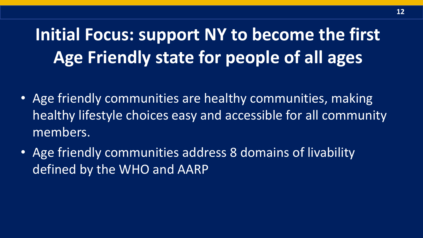**Initial Focus: support NY to become the first Age Friendly state for people of all ages**

- Age friendly communities are healthy communities, making healthy lifestyle choices easy and accessible for all community members.
- Age friendly communities address 8 domains of livability defined by the WHO and AARP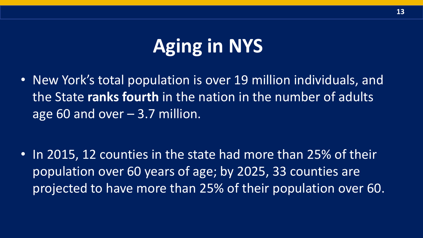# **Aging in NYS**

• New York's total population is over 19 million individuals, and the State **ranks fourth** in the nation in the number of adults age 60 and over  $-3.7$  million.

• In 2015, 12 counties in the state had more than 25% of their population over 60 years of age; by 2025, 33 counties are projected to have more than 25% of their population over 60.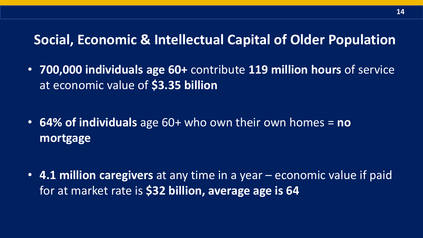### **Social, Economic & Intellectual Capital of Older Population**

• **700,000 individuals age 60+** contribute **119 million hours** of service at economic value of **\$3.35 billion**

- **64% of individuals** age 60+ who own their own homes = **no mortgage**
- **4.1 million caregivers** at any time in a year economic value if paid for at market rate is **\$32 billion, average age is 64**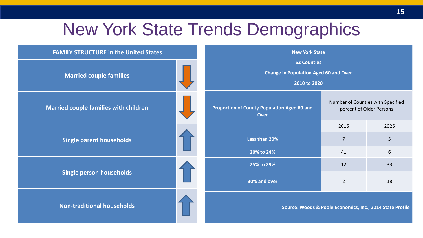## New York State Trends Demographics

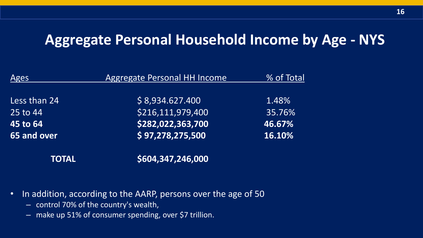### **Aggregate Personal Household Income by Age - NYS**

| Ages                 | <b>Aggregate Personal HH Income</b> | % of Total |  |
|----------------------|-------------------------------------|------------|--|
|                      |                                     |            |  |
| Less than 24         | \$8,934.627.400                     | 1.48%      |  |
| $125 \text{ to } 44$ | \$216,111,979,400                   | 35.76%     |  |
| 45 to 64             | \$282,022,363,700                   | 46.67%     |  |
| 65 and over          | \$97,278,275,500                    | 16.10%     |  |
| TOTAL                | \$604,347,246,000                   |            |  |

- In addition, according to the AARP, persons over the age of 50
	- control 70% of the country's wealth,
	- make up 51% of consumer spending, over \$7 trillion.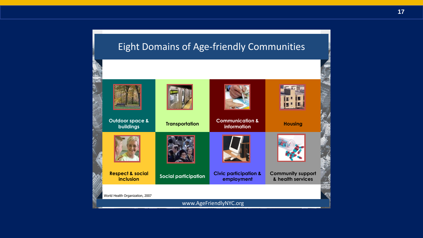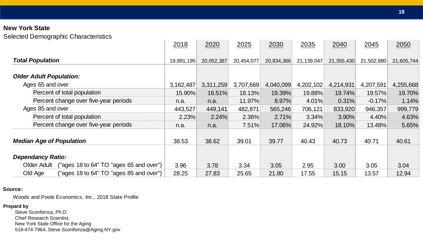Selected Demographic Characteristics

|                                                        | 2018       | 2020       | 2025       | 2030       | 2035       | 2040       | 2045       | 2050       |
|--------------------------------------------------------|------------|------------|------------|------------|------------|------------|------------|------------|
| <b>Total Population</b>                                | 19,891,195 | 20,052,387 | 20,454,077 | 20,834,366 | 21,139,047 | 21,355,430 | 21,502,880 | 21,605,744 |
| <b>Older Adult Population:</b>                         |            |            |            |            |            |            |            |            |
| Ages 65 and over                                       | 3,162,487  | 3,311,259  | 3,707,669  | 4,040,099  | 4,202,102  | 4,214,931  | 4,207,591  | 4,255,668  |
| Percent of total population                            | 15.90%     | 16.51%     | 18.13%     | 19.39%     | 19.88%     | 19.74%     | 19.57%     | 19.70%     |
| Percent change over five-year periods                  | n.a.       | n.a.       | 11.97%     | 8.97%      | 4.01%      | 0.31%      | $-0.17%$   | 1.14%      |
| Ages 85 and over                                       | 443,527    | 449,141    | 482,871    | 565,246    | 706,121    | 833,920    | 946,357    | 999,779    |
| Percent of total population                            | 2.23%      | 2.24%      | 2.36%      | 2.71%      | 3.34%      | 3.90%      | 4.40%      | 4.63%      |
| Percent change over five-year periods                  | n.a.       | n.a.       | 7.51%      | 17.06%     | 24.92%     | 18.10%     | 13.48%     | 5.65%      |
| <b>Median Age of Population</b>                        | 38.53      | 38.62      | 39.01      | 39.77      | 40.43      | 40.73      | 40.71      | 40.61      |
| <b>Dependancy Ratio:</b>                               |            |            |            |            |            |            |            |            |
| ("ages 18 to 64" TO "ages 65 and over")<br>Older Adult | 3.96       | 3.78       | 3.34       | 3.05       | 2.95       | 3.00       | 3.05       | 3.04       |
| ("ages 18 to 64" TO "ages 85 and over")<br>Old Age     | 28.25      | 27.83      | 25.65      | 21.80      | 17.55      | 15.15      | 13.57      | 12.94      |

#### **Source:**

Woods and Poole Economics, Inc., 2018 State Profile

#### **Prepard by**

Steve Sconfienza, Ph.D. Chief Research Scientist, New York State Office for the Aging 518-474-7964, Steve.Sconfienza@Aging.NY.gov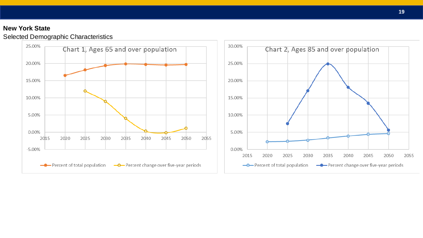### Selected Demographic Characteristics

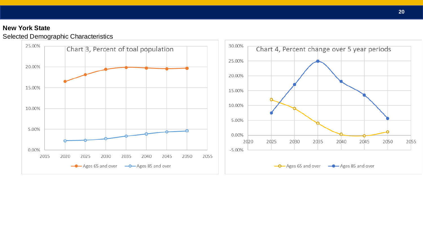### Selected Demographic Characteristics

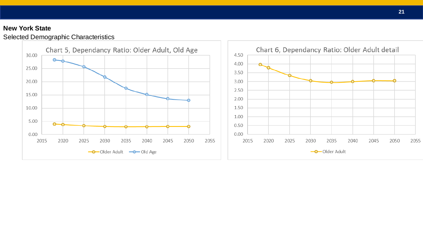### Selected Demographic Characteristics

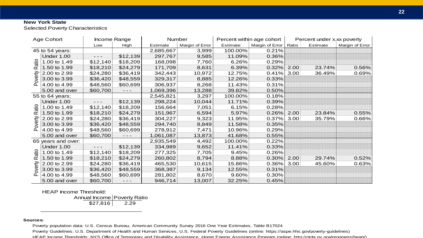Selected Poverty Characteristics

| Age Cohort                          |                    | Income Range |                      | Number    |                 | Percent within age cohort |                 | Percent under x.xx poverty |          |                 |
|-------------------------------------|--------------------|--------------|----------------------|-----------|-----------------|---------------------------|-----------------|----------------------------|----------|-----------------|
|                                     |                    | Low          | High                 | Estimate  | Margin of Error | Estimate                  | Margin of Error | Ratio                      | Estimate | Margin of Error |
| 45 to 54 years:                     |                    |              |                      | 2,685,667 | 3,999           | 100.00%                   | 0.21%           |                            |          |                 |
| atio<br>$\propto$<br>overty         | <b>Under 1.00</b>  | - - -        | \$12,139             | 297,767   | 9,585           | 11.09%                    | 0.36%           |                            |          |                 |
|                                     | 1.00 to 1.49       | \$12,140     | \$18,209             | 168,098   | 7,760           | $6.26\%$                  | 0.29%           |                            |          |                 |
|                                     | 1.50 to 1.99       | \$18,210     | \$24,279             | 171,709   | 8,631           | 6.39%                     | 0.32%           | 2.00                       | 23.74%   | 0.56%           |
|                                     | 2.00 to 2.99       | \$24,280     | \$36,419             | 342,443   | 10,972          | 12.75%                    | 0.41%           | 3.00                       | 36.49%   | 0.69%           |
|                                     | 3.00 to 3.99       | \$36,420     | \$48,559             | 329,317   | 8,885           | 12.26%                    | 0.33%           |                            |          |                 |
| ௳                                   | 4.00 to 4.99       | \$48,560     | \$60,699             | 306,937   | 8,268           | 11.43%                    | 0.31%           |                            |          |                 |
|                                     | 5.00 and over      | \$60,700     | $\sim$ $\sim$ $\sim$ | 1,069,396 | 13,288          | 39.82%                    | 0.50%           |                            |          |                 |
|                                     | 55 to 64 years:    |              |                      | 2,545,821 | 3,297           | 100.00%                   | 0.18%           |                            |          |                 |
|                                     | <b>Under 1.00</b>  | - - -        | \$12,139             | 298,224   | 10,044          | 11.71%                    | 0.39%           |                            |          |                 |
| atio                                | 1.00 to 1.49       | \$12,140     | \$18,209             | 156,664   | 7,051           | 6.15%                     | 0.28%           |                            |          |                 |
| $\alpha$                            | 1.50 to 1.99       | \$18,210     | \$24,279             | 151,967   | 6,594           | $5.97\%$                  | 0.26%           | 2.00                       | 23.84%   | 0.55%           |
|                                     | 2.00 to 2.99       | \$24,280     | \$36,419             | 304,227   | 9,323           | 11.95%                    | 0.37%           | 3.00                       | 35.79%   | $0.66\%$        |
| overty                              | 3.00 to 3.99       | \$36,420     | \$48,559             | 294,740   | 8,849           | 11.58%                    | 0.35%           |                            |          |                 |
| ௳                                   | 4.00 to 4.99       | \$48,560     | \$60,699             | 278,912   | 7,471           | 10.96%                    | 0.29%           |                            |          |                 |
|                                     | 5.00 and over      | \$60,700     | $  -$                | 1,061,087 | 13,873          | 41.68%                    | 0.55%           |                            |          |                 |
|                                     | 65 years and over: |              |                      | 2,935,549 | 4,492           | 100.00%                   | 0.22%           |                            |          |                 |
|                                     | <b>Under 1.00</b>  | - - -        | \$12,139             | 334,989   | 9,652           | $11.41\%$                 | 0.33%           |                            |          |                 |
| atio<br>œ<br>overty<br>$\mathbf{a}$ | 1.00 to 1.49       | \$12,140     | \$18,209             | 277,325   | 7,705           | 9.45%                     | 0.26%           |                            |          |                 |
|                                     | 1.50 to 1.99       | \$18,210     | \$24,279             | 260,802   | 8,794           | $8.88\%$                  | 0.30%           | 2.00                       | 29.74%   | 0.52%           |
|                                     | 2.00 to 2.99       | \$24,280     | \$36,419             | 465,530   | 10,615          | 15.86%                    | 0.36%           | 3.00                       | 45.60%   | 0.63%           |
|                                     | 3.00 to 3.99       | \$36,420     | \$48,559             | 368,387   | 9,134           | 12.55%                    | 0.31%           |                            |          |                 |
|                                     | 4.00 to 4.99       | \$48,560     | \$60,699             | 281,802   | 8,670           | $9.60\%$                  | 0.30%           |                            |          |                 |
|                                     | 5.00 and over      | \$60,700     | $  -$                | 946,714   | 13,007          | 32.25%                    | 0.45%           |                            |          |                 |

HEAP Income Threshold:

Annual Income Poverty Ratio  $\overline{$27,816}$  2.29

#### **Sources:**

Poverty population data: U.S. Census Bureau, American Community Survey 2016 One Year Estimates, Table B17024

Poverty Guidelines: U.S. Department of Health and Human Services, U.S. Federal Poverty Guidelines (online: https://aspe.hhs.gov/poverty-guidelines)

HEAP Income Thresholds: NYS Office of Temporary and Disability Assistance, Home Energy Assistance Program (online: http://otda.ny.gov/programs/heap/)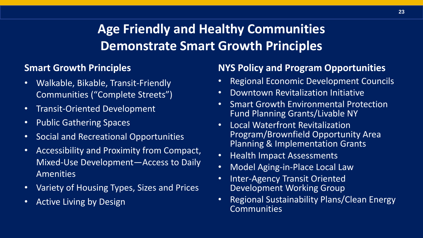### **Age Friendly and Healthy Communities Demonstrate Smart Growth Principles**

### **Smart Growth Principles**

- Walkable, Bikable, Transit-Friendly Communities ("Complete Streets")
- Transit-Oriented Development
- Public Gathering Spaces
- Social and Recreational Opportunities
- Accessibility and Proximity from Compact, Mixed-Use Development—Access to Daily Amenities
- Variety of Housing Types, Sizes and Prices
- Active Living by Design

### **NYS Policy and Program Opportunities**

- Regional Economic Development Councils
- Downtown Revitalization Initiative
- Smart Growth Environmental Protection Fund Planning Grants/Livable NY
- Local Waterfront Revitalization Program/Brownfield Opportunity Area Planning & Implementation Grants
- Health Impact Assessments
- Model Aging-in-Place Local Law
- Inter-Agency Transit Oriented Development Working Group
- Regional Sustainability Plans/Clean Energy Communities